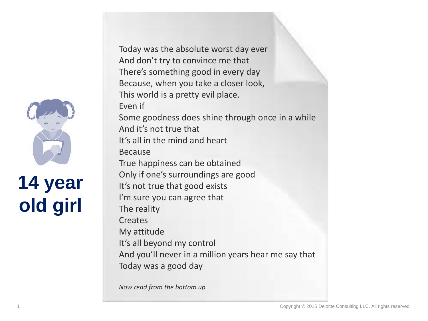

## **14 year old girl**

Today was the absolute worst day ever And don't try to convince me that There's something good in every day Because, when you take a closer look, This world is a pretty evil place. Even if Some goodness does shine through once in a while And it's not true that It's all in the mind and heart Because True happiness can be obtained Only if one's surroundings are good It's not true that good exists I'm sure you can agree that The reality **Creates** My attitude It's all beyond my control And you'll never in a million years hear me say that

Today was a good day

*Now read from the bottom up*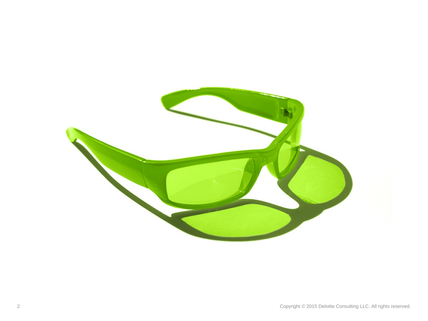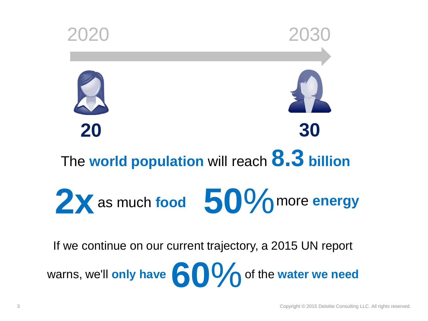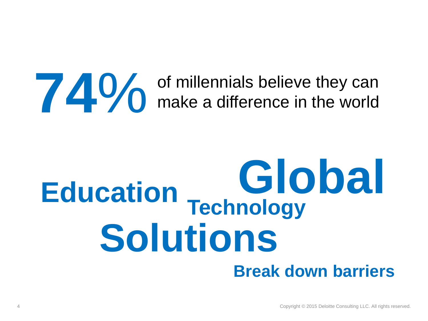# **744 O** of millennials believe they can make a difference in the world make a difference in the world

## **Education Solutions Technology Global Break down barriers**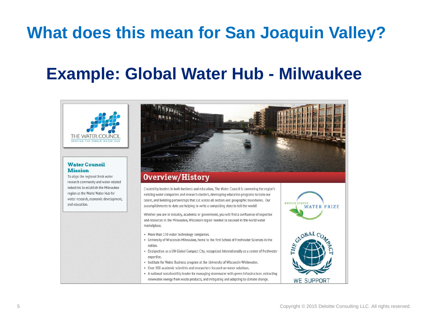### **What does this mean for San Joaquin Valley?**

#### **Example: Global Water Hub - Milwaukee**